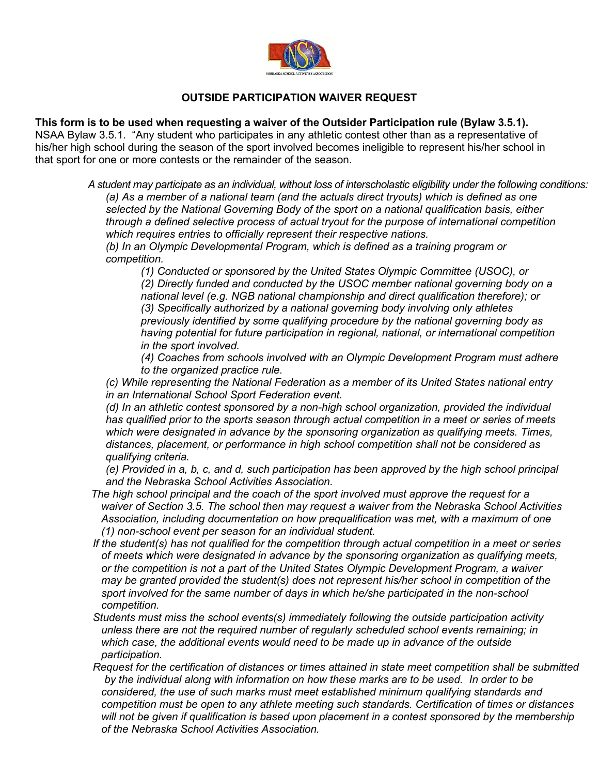

## **OUTSIDE PARTICIPATION WAIVER REQUEST**

## **This form is to be used when requesting a waiver of the Outsider Participation rule (Bylaw 3.5.1).**

NSAA Bylaw 3.5.1. "Any student who participates in any athletic contest other than as a representative of his/her high school during the season of the sport involved becomes ineligible to represent his/her school in that sport for one or more contests or the remainder of the season.

> *A student may participate as an individual, without loss of interscholastic eligibility under the following conditions: (a) As a member of a national team (and the actuals direct tryouts) which is defined as one selected by the National Governing Body of the sport on a national qualification basis, either through a defined selective process of actual tryout for the purpose of international competition which requires entries to officially represent their respective nations.*

*(b) In an Olympic Developmental Program, which is defined as a training program or competition.*

*(1) Conducted or sponsored by the United States Olympic Committee (USOC), or*

*(2) Directly funded and conducted by the USOC member national governing body on a national level (e.g. NGB national championship and direct qualification therefore); or (3) Specifically authorized by a national governing body involving only athletes previously identified by some qualifying procedure by the national governing body as having potential for future participation in regional, national, or international competition in the sport involved.*

*(4) Coaches from schools involved with an Olympic Development Program must adhere to the organized practice rule.*

*(c) While representing the National Federation as a member of its United States national entry in an International School Sport Federation event.*

*(d) In an athletic contest sponsored by a non-high school organization, provided the individual has qualified prior to the sports season through actual competition in a meet or series of meets which were designated in advance by the sponsoring organization as qualifying meets. Times, distances, placement, or performance in high school competition shall not be considered as qualifying criteria.*

*(e) Provided in a, b, c, and d, such participation has been approved by the high school principal and the Nebraska School Activities Association.*

- *The high school principal and the coach of the sport involved must approve the request for a waiver of Section 3.5. The school then may request a waiver from the Nebraska School Activities Association, including documentation on how prequalification was met, with a maximum of one (1) non-school event per season for an individual student.*
- *If the student(s) has not qualified for the competition through actual competition in a meet or series of meets which were designated in advance by the sponsoring organization as qualifying meets, or the competition is not a part of the United States Olympic Development Program, a waiver may be granted provided the student(s) does not represent his/her school in competition of the sport involved for the same number of days in which he/she participated in the non-school competition.*
- *Students must miss the school events(s) immediately following the outside participation activity unless there are not the required number of regularly scheduled school events remaining; in which case, the additional events would need to be made up in advance of the outside participation.*
- *Request for the certification of distances or times attained in state meet competition shall be submitted by the individual along with information on how these marks are to be used.**In order to be considered, the use of such marks must meet established minimum qualifying standards and competition must be open to any athlete meeting such standards. Certification of times or distances will not be given if qualification is based upon placement in a contest sponsored by the membership of the Nebraska School Activities Association.*